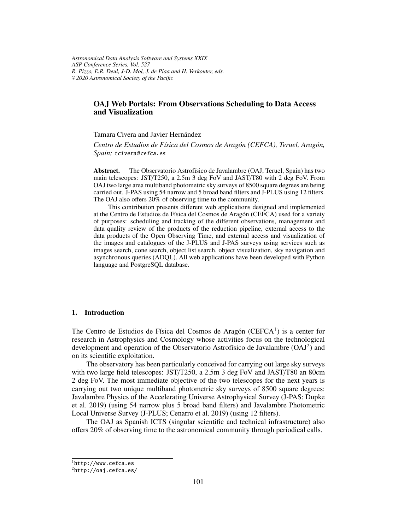*Astronomical Data Analysis Software and Systems XXIX ASP Conference Series, Vol. 527 R. Pizzo, E.R. Deul, J-D. Mol, J. de Plaa and H. Verkouter, eds.* <sup>c</sup> *2020 Astronomical Society of the Pacific*

# **OAJ Web Portals: From Observations Scheduling to Data Access and Visualization**

Tamara Civera and Javier Hernández

*Centro de Estudios de Física del Cosmos de Aragón (CEFCA), Teruel, Aragón, Spain;* tcivera@ cefca.es

**Abstract.** The Observatorio Astrofísico de Javalambre (OAJ, Teruel, Spain) has two main telescopes: JST/T250, a 2.5m 3 deg FoV and JAST/T80 with 2 deg FoV. From OAJ two large area multiband photometric sky surveys of 8500 square degrees are being carried out. J-PAS using 54 narrow and 5 broad band filters and J-PLUS using 12 filters. The OAJ also offers 20% of observing time to the community.

This contribution presents different web applications designed and implemented at the Centro de Estudios de Física del Cosmos de Aragón (CEFCA) used for a variety of purposes: scheduling and tracking of the different observations, management and data quality review of the products of the reduction pipeline, external access to the data products of the Open Observing Time, and external access and visualization of the images and catalogues of the J-PLUS and J-PAS surveys using services such as images search, cone search, object list search, object visualization, sky navigation and asynchronous queries (ADQL). All web applications have been developed with Python language and PostgreSQL database.

### **1. Introduction**

The Centro de Estudios de Física del Cosmos de Aragón (CEFCA $<sup>1</sup>$ ) is a center for</sup> research in Astrophysics and Cosmology whose activities focus on the technological development and operation of the Observatorio Astrofísico de Javalambre (OAJ<sup>2</sup>) and on its scientific exploitation.

The observatory has been particularly conceived for carrying out large sky surveys with two large field telescopes: JST/T250, a 2.5m 3 deg FoV and JAST/T80 an 80cm 2 deg FoV. The most immediate objective of the two telescopes for the next years is carrying out two unique multiband photometric sky surveys of 8500 square degrees: Javalambre Physics of the Accelerating Universe Astrophysical Survey (J-PAS; Dupke et al. 2019) (using 54 narrow plus 5 broad band filters) and Javalambre Photometric Local Universe Survey (J-PLUS; Cenarro et al. 2019) (using 12 filters).

The OAJ as Spanish ICTS (singular scientific and technical infrastructure) also offers 20% of observing time to the astronomical community through periodical calls.

 ${}^{1}$ http://www.cefca.es

<sup>2</sup>http://oaj.cefca.es/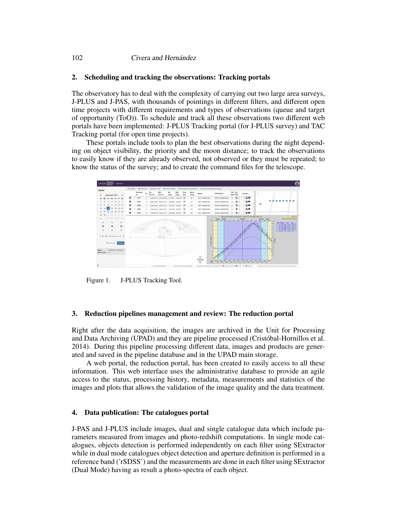#### 102 Civera and Hernández

## **2. Scheduling and tracking the observations: Tracking portals**

The observatory has to deal with the complexity of carrying out two large area surveys, J-PLUS and J-PAS, with thousands of pointings in different filters, and different open time projects with different requirements and types of observations (queue and target of opportunity (ToO)). To schedule and track all these observations two different web portals have been implemented: J-PLUS Tracking portal (for J-PLUS survey) and TAC Tracking portal (for open time projects).

These portals include tools to plan the best observations during the night depending on object visibility, the priority and the moon distance; to track the observations to easily know if they are already observed, not observed or they must be repeated; to know the status of the survey; and to create the command files for the telescope.



Figure 1. J-PLUS Tracking Tool.

### **3. Reduction pipelines management and review: The reduction portal**

Right after the data acquisition, the images are archived in the Unit for Processing and Data Archiving (UPAD) and they are pipeline processed (Cristóbal-Hornillos et al. 2014). During this pipeline processing different data, images and products are generated and saved in the pipeline database and in the UPAD main storage.

A web portal, the reduction portal, has been created to easily access to all these information. This web interface uses the administrative database to provide an agile access to the status, processing history, metadata, measurements and statistics of the images and plots that allows the validation of the image quality and the data treatment.

#### **4. Data publication: The catalogues portal**

J-PAS and J-PLUS include images, dual and single catalogue data which include parameters measured from images and photo-redshift computations. In single mode catalogues, objects detection is performed independently on each filter using SExtractor while in dual mode catalogues object detection and aperture definition is performed in a reference band ('rSDSS') and the measurements are done in each filter using SExtractor (Dual Mode) having as result a photo-spectra of each object.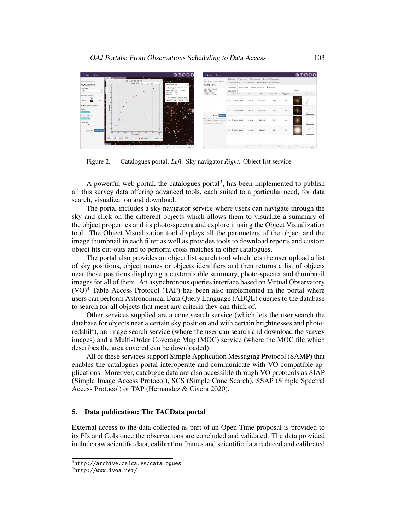

Figure 2. Catalogues portal. *Left:* Sky navigator *Right:* Object list service

A powerful web portal, the catalogues portal<sup>3</sup>, has been implemented to publish all this survey data offering advanced tools, each suited to a particular need, for data search, visualization and download.

The portal includes a sky navigator service where users can navigate through the sky and click on the different objects which allows them to visualize a summary of the object properties and its photo-spectra and explore it using the Object Visualization tool. The Object Visualization tool displays all the parameters of the object and the image thumbnail in each filter as well as provides tools to download reports and custom object fits cut-outs and to perform cross matches in other catalogues.

The portal also provides an object list search tool which lets the user upload a list of sky positions, object names or objects identifiers and then returns a list of objects near those positions displaying a customizable summary, photo-spectra and thumbnail images for all of them. An asynchronous queries interface based on Virtual Observatory  $(VO)^4$  Table Access Protocol (TAP) has been also implemented in the portal where users can perform Astronomical Data Query Language (ADQL) queries to the database to search for all objects that meet any criteria they can think of.

Other services supplied are a cone search service (which lets the user search the database for objects near a certain sky position and with certain brightnesses and photoredshift), an image search service (where the user can search and download the survey images) and a Multi-Order Coverage Map (MOC) service (where the MOC file which describes the area covered can be downloaded).

All of these services support Simple Application Messaging Protocol (SAMP) that enables the catalogues portal interoperate and communicate with VO-compatible applications. Moreover, catalogue data are also accessible through VO protocols as SIAP (Simple Image Access Protocol), SCS (Simple Cone Search), SSAP (Simple Spectral Access Protocol) or TAP (Hernandez & Civera 2020).

### **5. Data publication: The TACData portal**

External access to the data collected as part of an Open Time proposal is provided to its PIs and CoIs once the observations are concluded and validated. The data provided include raw scientific data, calibration frames and scientific data reduced and calibrated

<sup>3</sup>http://archive.cefca.es/catalogues

<sup>4</sup>http://www.ivoa.net/